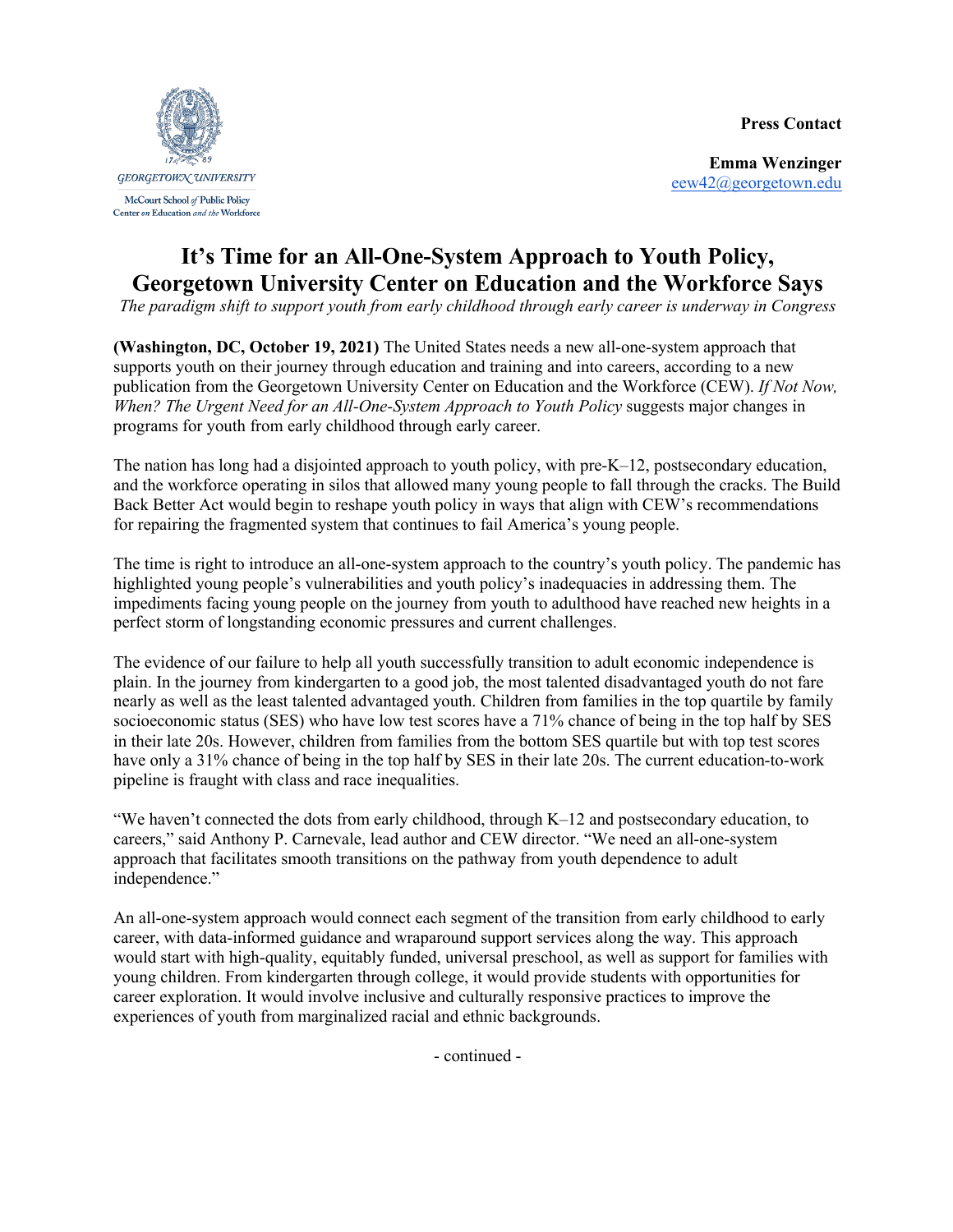**Press Contact**



**Emma Wenzinger** eew42@georgetown.edu

## **It's Time for an All-One-System Approach to Youth Policy, Georgetown University Center on Education and the Workforce Says**

*The paradigm shift to support youth from early childhood through early career is underway in Congress*

**(Washington, DC, October 19, 2021)** The United States needs a new all-one-system approach that supports youth on their journey through education and training and into careers, according to a new publication from the Georgetown University Center on Education and the Workforce (CEW). *If Not Now, When? The Urgent Need for an All-One-System Approach to Youth Policy* suggests major changes in programs for youth from early childhood through early career.

The nation has long had a disjointed approach to youth policy, with pre-K–12, postsecondary education, and the workforce operating in silos that allowed many young people to fall through the cracks. The Build Back Better Act would begin to reshape youth policy in ways that align with CEW's recommendations for repairing the fragmented system that continues to fail America's young people.

The time is right to introduce an all-one-system approach to the country's youth policy. The pandemic has highlighted young people's vulnerabilities and youth policy's inadequacies in addressing them. The impediments facing young people on the journey from youth to adulthood have reached new heights in a perfect storm of longstanding economic pressures and current challenges.

The evidence of our failure to help all youth successfully transition to adult economic independence is plain. In the journey from kindergarten to a good job, the most talented disadvantaged youth do not fare nearly as well as the least talented advantaged youth. Children from families in the top quartile by family socioeconomic status (SES) who have low test scores have a 71% chance of being in the top half by SES in their late 20s. However, children from families from the bottom SES quartile but with top test scores have only a 31% chance of being in the top half by SES in their late 20s. The current education-to-work pipeline is fraught with class and race inequalities.

"We haven't connected the dots from early childhood, through K–12 and postsecondary education, to careers," said Anthony P. Carnevale, lead author and CEW director. "We need an all-one-system approach that facilitates smooth transitions on the pathway from youth dependence to adult independence."

An all-one-system approach would connect each segment of the transition from early childhood to early career, with data-informed guidance and wraparound support services along the way. This approach would start with high-quality, equitably funded, universal preschool, as well as support for families with young children. From kindergarten through college, it would provide students with opportunities for career exploration. It would involve inclusive and culturally responsive practices to improve the experiences of youth from marginalized racial and ethnic backgrounds.

- continued -